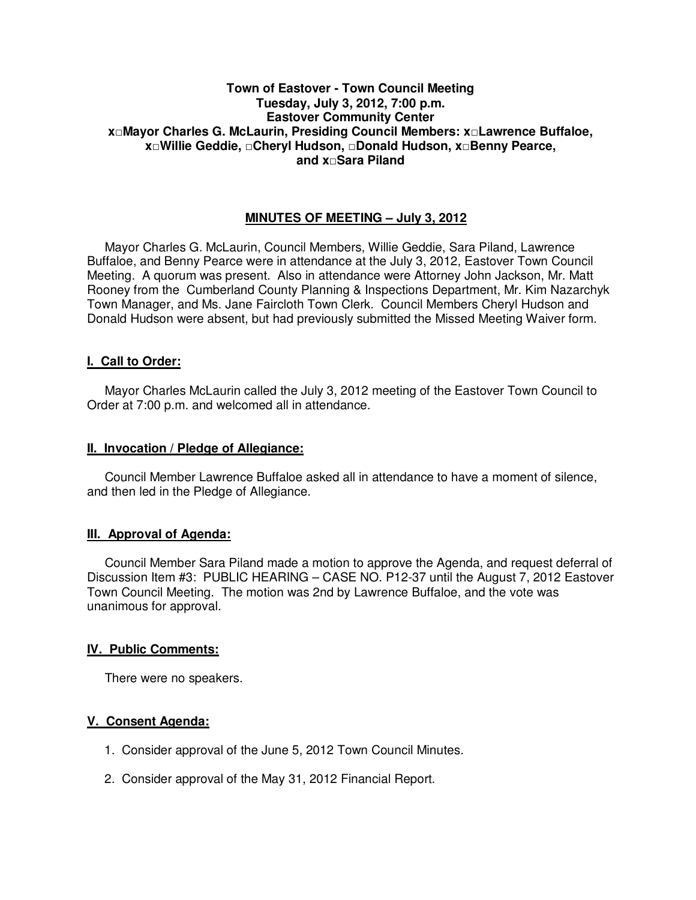## **Town of Eastover - Town Council Meeting Tuesday, July 3, 2012, 7:00 p.m. Eastover Community Center x□Mayor Charles G. McLaurin, Presiding Council Members: x□Lawrence Buffaloe, x□Willie Geddie, □Cheryl Hudson, □Donald Hudson, x□Benny Pearce, and x□Sara Piland**

# **MINUTES OF MEETING – July 3, 2012**

Mayor Charles G. McLaurin, Council Members, Willie Geddie, Sara Piland, Lawrence Buffaloe, and Benny Pearce were in attendance at the July 3, 2012, Eastover Town Council Meeting. A quorum was present. Also in attendance were Attorney John Jackson, Mr. Matt Rooney from the Cumberland County Planning & Inspections Department, Mr. Kim Nazarchyk Town Manager, and Ms. Jane Faircloth Town Clerk. Council Members Cheryl Hudson and Donald Hudson were absent, but had previously submitted the Missed Meeting Waiver form.

### **I. Call to Order:**

Mayor Charles McLaurin called the July 3, 2012 meeting of the Eastover Town Council to Order at 7:00 p.m. and welcomed all in attendance.

#### **II. Invocation / Pledge of Allegiance:**

 Council Member Lawrence Buffaloe asked all in attendance to have a moment of silence, and then led in the Pledge of Allegiance.

### **III. Approval of Agenda:**

 Council Member Sara Piland made a motion to approve the Agenda, and request deferral of Discussion Item #3: PUBLIC HEARING – CASE NO. P12-37 until the August 7, 2012 Eastover Town Council Meeting. The motion was 2nd by Lawrence Buffaloe, and the vote was unanimous for approval.

### **IV. Public Comments:**

There were no speakers.

### **V. Consent Agenda:**

- 1. Consider approval of the June 5, 2012 Town Council Minutes.
- 2. Consider approval of the May 31, 2012 Financial Report.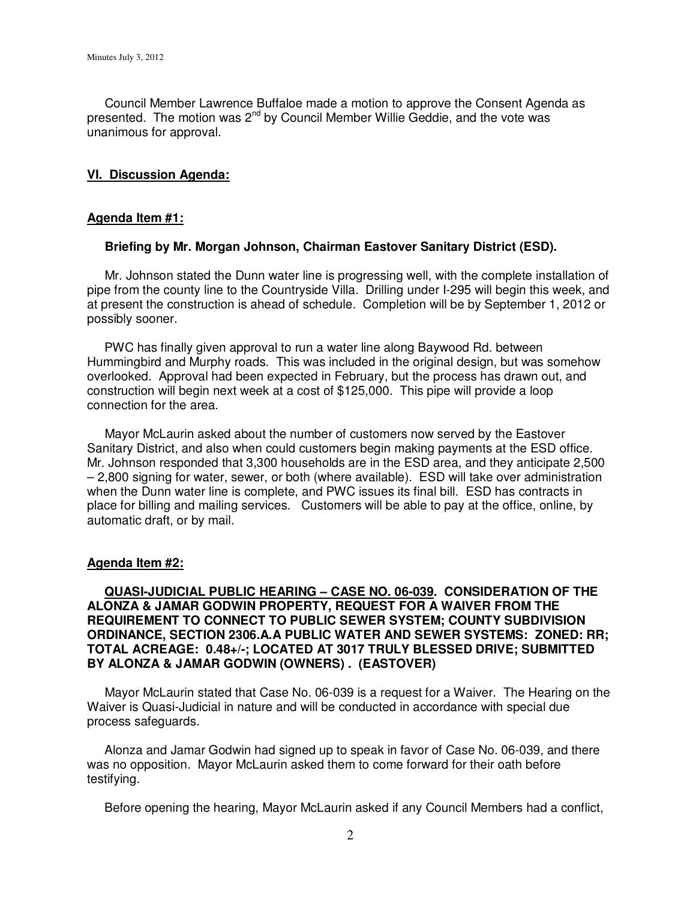Council Member Lawrence Buffaloe made a motion to approve the Consent Agenda as presented. The motion was  $2^{nd}$  by Council Member Willie Geddie, and the vote was unanimous for approval.

## **VI. Discussion Agenda:**

## **Agenda Item #1:**

## **Briefing by Mr. Morgan Johnson, Chairman Eastover Sanitary District (ESD).**

Mr. Johnson stated the Dunn water line is progressing well, with the complete installation of pipe from the county line to the Countryside Villa. Drilling under I-295 will begin this week, and at present the construction is ahead of schedule. Completion will be by September 1, 2012 or possibly sooner.

 PWC has finally given approval to run a water line along Baywood Rd. between Hummingbird and Murphy roads. This was included in the original design, but was somehow overlooked. Approval had been expected in February, but the process has drawn out, and construction will begin next week at a cost of \$125,000. This pipe will provide a loop connection for the area.

 Mayor McLaurin asked about the number of customers now served by the Eastover Sanitary District, and also when could customers begin making payments at the ESD office. Mr. Johnson responded that 3,300 households are in the ESD area, and they anticipate 2,500 – 2,800 signing for water, sewer, or both (where available). ESD will take over administration when the Dunn water line is complete, and PWC issues its final bill. ESD has contracts in place for billing and mailing services. Customers will be able to pay at the office, online, by automatic draft, or by mail.

### **Agenda Item #2:**

 **QUASI-JUDICIAL PUBLIC HEARING – CASE NO. 06-039. CONSIDERATION OF THE ALONZA & JAMAR GODWIN PROPERTY, REQUEST FOR A WAIVER FROM THE REQUIREMENT TO CONNECT TO PUBLIC SEWER SYSTEM; COUNTY SUBDIVISION ORDINANCE, SECTION 2306.A.A PUBLIC WATER AND SEWER SYSTEMS: ZONED: RR; TOTAL ACREAGE: 0.48+/-; LOCATED AT 3017 TRULY BLESSED DRIVE; SUBMITTED BY ALONZA & JAMAR GODWIN (OWNERS) . (EASTOVER)** 

Mayor McLaurin stated that Case No. 06-039 is a request for a Waiver. The Hearing on the Waiver is Quasi-Judicial in nature and will be conducted in accordance with special due process safeguards.

 Alonza and Jamar Godwin had signed up to speak in favor of Case No. 06-039, and there was no opposition. Mayor McLaurin asked them to come forward for their oath before testifying.

Before opening the hearing, Mayor McLaurin asked if any Council Members had a conflict,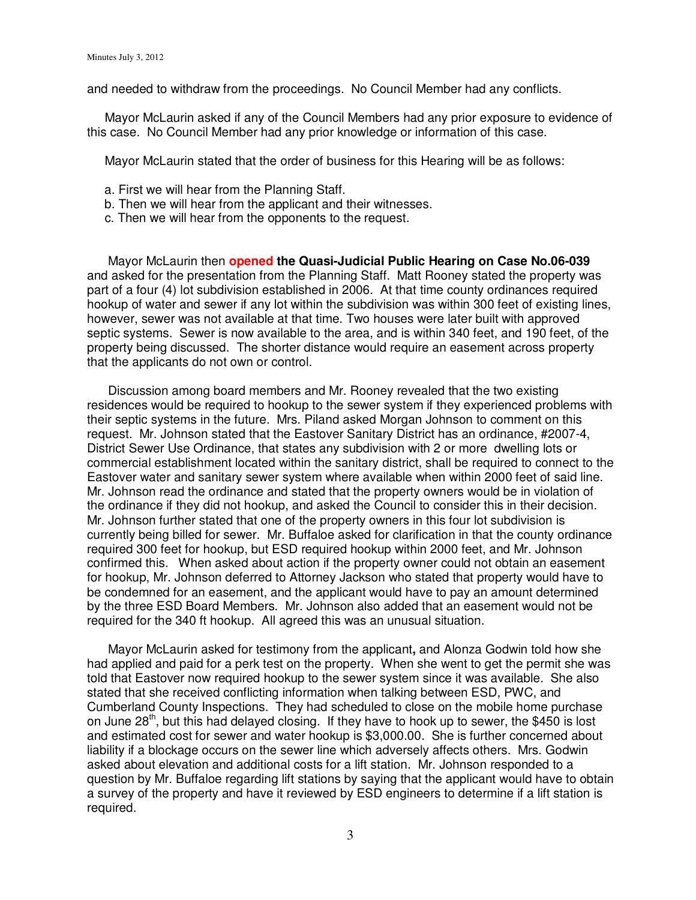and needed to withdraw from the proceedings. No Council Member had any conflicts.

 Mayor McLaurin asked if any of the Council Members had any prior exposure to evidence of this case. No Council Member had any prior knowledge or information of this case.

Mayor McLaurin stated that the order of business for this Hearing will be as follows:

- a. First we will hear from the Planning Staff.
- b. Then we will hear from the applicant and their witnesses.
- c. Then we will hear from the opponents to the request.

 Mayor McLaurin then **opened the Quasi-Judicial Public Hearing on Case No.06-039** and asked for the presentation from the Planning Staff. Matt Rooney stated the property was part of a four (4) lot subdivision established in 2006. At that time county ordinances required hookup of water and sewer if any lot within the subdivision was within 300 feet of existing lines, however, sewer was not available at that time. Two houses were later built with approved septic systems. Sewer is now available to the area, and is within 340 feet, and 190 feet, of the property being discussed. The shorter distance would require an easement across property that the applicants do not own or control.

 Discussion among board members and Mr. Rooney revealed that the two existing residences would be required to hookup to the sewer system if they experienced problems with their septic systems in the future. Mrs. Piland asked Morgan Johnson to comment on this request. Mr. Johnson stated that the Eastover Sanitary District has an ordinance, #2007-4, District Sewer Use Ordinance, that states any subdivision with 2 or more dwelling lots or commercial establishment located within the sanitary district, shall be required to connect to the Eastover water and sanitary sewer system where available when within 2000 feet of said line. Mr. Johnson read the ordinance and stated that the property owners would be in violation of the ordinance if they did not hookup, and asked the Council to consider this in their decision. Mr. Johnson further stated that one of the property owners in this four lot subdivision is currently being billed for sewer. Mr. Buffaloe asked for clarification in that the county ordinance required 300 feet for hookup, but ESD required hookup within 2000 feet, and Mr. Johnson confirmed this. When asked about action if the property owner could not obtain an easement for hookup, Mr. Johnson deferred to Attorney Jackson who stated that property would have to be condemned for an easement, and the applicant would have to pay an amount determined by the three ESD Board Members. Mr. Johnson also added that an easement would not be required for the 340 ft hookup. All agreed this was an unusual situation.

 Mayor McLaurin asked for testimony from the applicant**,** and Alonza Godwin told how she had applied and paid for a perk test on the property. When she went to get the permit she was told that Eastover now required hookup to the sewer system since it was available. She also stated that she received conflicting information when talking between ESD, PWC, and Cumberland County Inspections. They had scheduled to close on the mobile home purchase on June  $28<sup>th</sup>$ , but this had delayed closing. If they have to hook up to sewer, the \$450 is lost and estimated cost for sewer and water hookup is \$3,000.00. She is further concerned about liability if a blockage occurs on the sewer line which adversely affects others. Mrs. Godwin asked about elevation and additional costs for a lift station. Mr. Johnson responded to a question by Mr. Buffaloe regarding lift stations by saying that the applicant would have to obtain a survey of the property and have it reviewed by ESD engineers to determine if a lift station is required.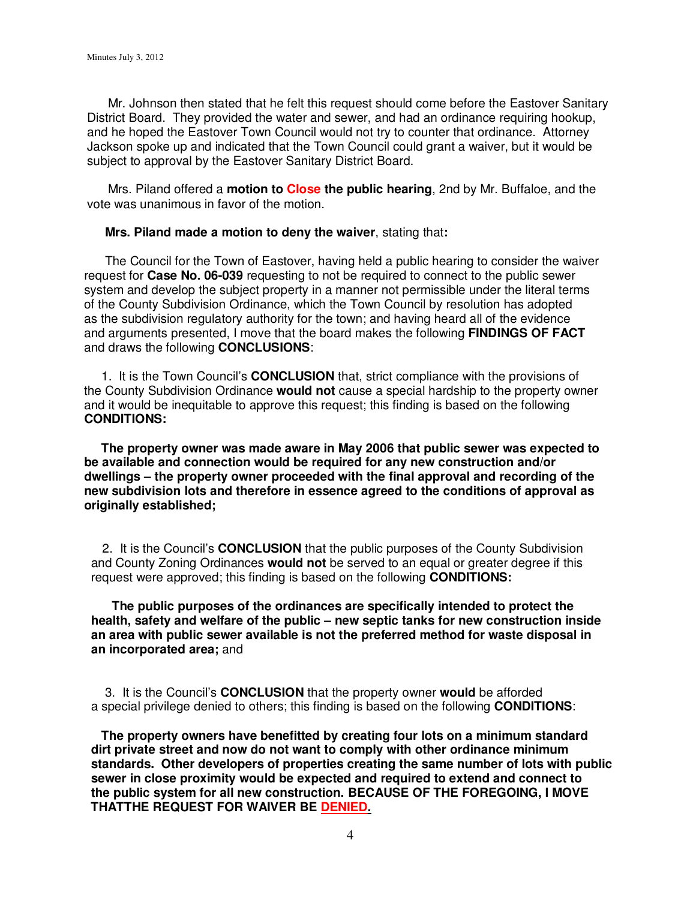Mr. Johnson then stated that he felt this request should come before the Eastover Sanitary District Board. They provided the water and sewer, and had an ordinance requiring hookup, and he hoped the Eastover Town Council would not try to counter that ordinance. Attorney Jackson spoke up and indicated that the Town Council could grant a waiver, but it would be subject to approval by the Eastover Sanitary District Board.

 Mrs. Piland offered a **motion to Close the public hearing**, 2nd by Mr. Buffaloe, and the vote was unanimous in favor of the motion.

#### **Mrs. Piland made a motion to deny the waiver**, stating that**:**

 The Council for the Town of Eastover, having held a public hearing to consider the waiver request for **Case No. 06-039** requesting to not be required to connect to the public sewer system and develop the subject property in a manner not permissible under the literal terms of the County Subdivision Ordinance, which the Town Council by resolution has adopted as the subdivision regulatory authority for the town; and having heard all of the evidence and arguments presented, I move that the board makes the following **FINDINGS OF FACT** and draws the following **CONCLUSIONS**:

 1. It is the Town Council's **CONCLUSION** that, strict compliance with the provisions of the County Subdivision Ordinance **would not** cause a special hardship to the property owner and it would be inequitable to approve this request; this finding is based on the following **CONDITIONS:** 

 **The property owner was made aware in May 2006 that public sewer was expected to be available and connection would be required for any new construction and/or dwellings – the property owner proceeded with the final approval and recording of the new subdivision lots and therefore in essence agreed to the conditions of approval as originally established;** 

2. It is the Council's **CONCLUSION** that the public purposes of the County Subdivision and County Zoning Ordinances **would not** be served to an equal or greater degree if this request were approved; this finding is based on the following **CONDITIONS:** 

 **The public purposes of the ordinances are specifically intended to protect the health, safety and welfare of the public – new septic tanks for new construction inside an area with public sewer available is not the preferred method for waste disposal in an incorporated area;** and

 3. It is the Council's **CONCLUSION** that the property owner **would** be afforded a special privilege denied to others; this finding is based on the following **CONDITIONS**:

 **The property owners have benefitted by creating four lots on a minimum standard dirt private street and now do not want to comply with other ordinance minimum standards. Other developers of properties creating the same number of lots with public sewer in close proximity would be expected and required to extend and connect to the public system for all new construction. BECAUSE OF THE FOREGOING, I MOVE THATTHE REQUEST FOR WAIVER BE DENIED.**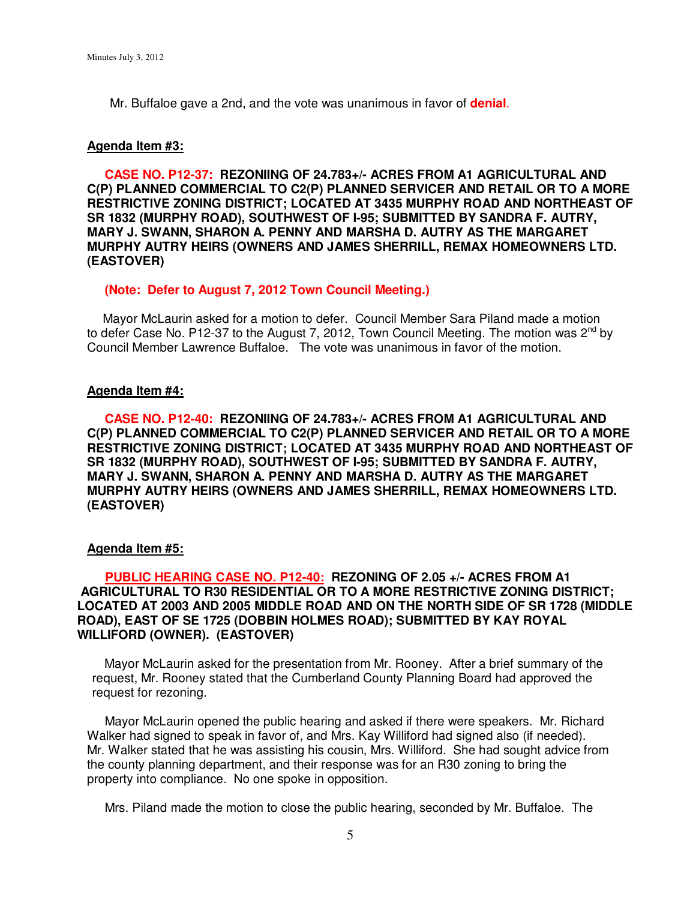Mr. Buffaloe gave a 2nd, and the vote was unanimous in favor of **denial**.

#### **Agenda Item #3:**

 **CASE NO. P12-37: REZONIING OF 24.783+/- ACRES FROM A1 AGRICULTURAL AND C(P) PLANNED COMMERCIAL TO C2(P) PLANNED SERVICER AND RETAIL OR TO A MORE RESTRICTIVE ZONING DISTRICT; LOCATED AT 3435 MURPHY ROAD AND NORTHEAST OF SR 1832 (MURPHY ROAD), SOUTHWEST OF I-95; SUBMITTED BY SANDRA F. AUTRY, MARY J. SWANN, SHARON A. PENNY AND MARSHA D. AUTRY AS THE MARGARET MURPHY AUTRY HEIRS (OWNERS AND JAMES SHERRILL, REMAX HOMEOWNERS LTD. (EASTOVER)** 

#### **(Note: Defer to August 7, 2012 Town Council Meeting.)**

 Mayor McLaurin asked for a motion to defer. Council Member Sara Piland made a motion to defer Case No. P12-37 to the August 7, 2012, Town Council Meeting. The motion was  $2^{nd}$  by Council Member Lawrence Buffaloe. The vote was unanimous in favor of the motion.

#### **Agenda Item #4:**

 **CASE NO. P12-40: REZONIING OF 24.783+/- ACRES FROM A1 AGRICULTURAL AND C(P) PLANNED COMMERCIAL TO C2(P) PLANNED SERVICER AND RETAIL OR TO A MORE RESTRICTIVE ZONING DISTRICT; LOCATED AT 3435 MURPHY ROAD AND NORTHEAST OF SR 1832 (MURPHY ROAD), SOUTHWEST OF I-95; SUBMITTED BY SANDRA F. AUTRY, MARY J. SWANN, SHARON A. PENNY AND MARSHA D. AUTRY AS THE MARGARET MURPHY AUTRY HEIRS (OWNERS AND JAMES SHERRILL, REMAX HOMEOWNERS LTD. (EASTOVER)** 

#### **Agenda Item #5:**

## **PUBLIC HEARING CASE NO. P12-40: REZONING OF 2.05 +/- ACRES FROM A1 AGRICULTURAL TO R30 RESIDENTIAL OR TO A MORE RESTRICTIVE ZONING DISTRICT; LOCATED AT 2003 AND 2005 MIDDLE ROAD AND ON THE NORTH SIDE OF SR 1728 (MIDDLE ROAD), EAST OF SE 1725 (DOBBIN HOLMES ROAD); SUBMITTED BY KAY ROYAL WILLIFORD (OWNER). (EASTOVER)**

 Mayor McLaurin asked for the presentation from Mr. Rooney. After a brief summary of the request, Mr. Rooney stated that the Cumberland County Planning Board had approved the request for rezoning.

 Mayor McLaurin opened the public hearing and asked if there were speakers. Mr. Richard Walker had signed to speak in favor of, and Mrs. Kay Williford had signed also (if needed). Mr. Walker stated that he was assisting his cousin, Mrs. Williford. She had sought advice from the county planning department, and their response was for an R30 zoning to bring the property into compliance. No one spoke in opposition.

Mrs. Piland made the motion to close the public hearing, seconded by Mr. Buffaloe. The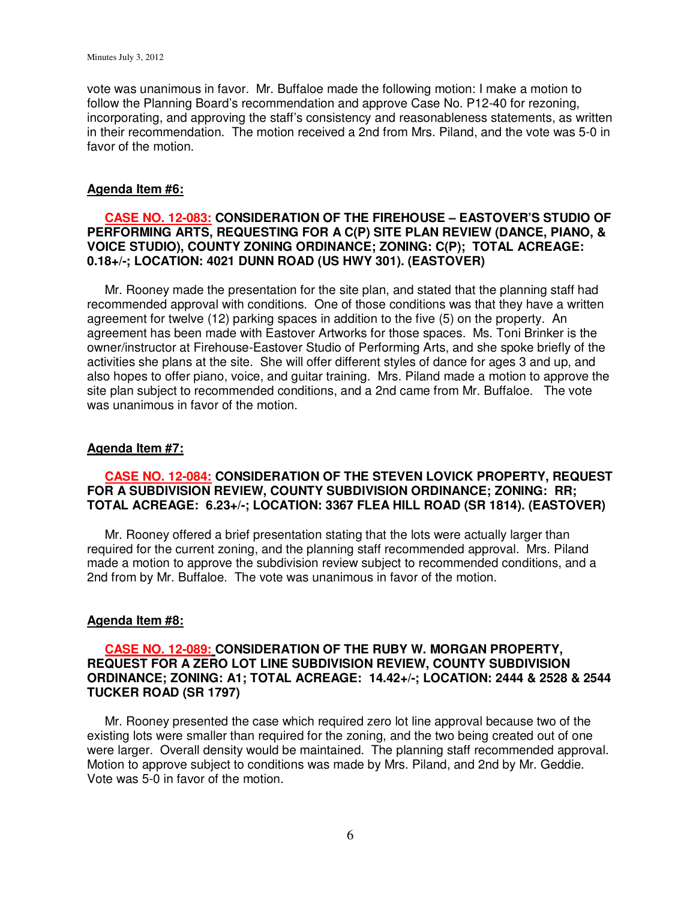vote was unanimous in favor. Mr. Buffaloe made the following motion: I make a motion to follow the Planning Board's recommendation and approve Case No. P12-40 for rezoning, incorporating, and approving the staff's consistency and reasonableness statements, as written in their recommendation. The motion received a 2nd from Mrs. Piland, and the vote was 5-0 in favor of the motion.

### **Agenda Item #6:**

### **CASE NO. 12-083: CONSIDERATION OF THE FIREHOUSE – EASTOVER'S STUDIO OF PERFORMING ARTS, REQUESTING FOR A C(P) SITE PLAN REVIEW (DANCE, PIANO, & VOICE STUDIO), COUNTY ZONING ORDINANCE; ZONING: C(P); TOTAL ACREAGE: 0.18+/-; LOCATION: 4021 DUNN ROAD (US HWY 301). (EASTOVER)**

 Mr. Rooney made the presentation for the site plan, and stated that the planning staff had recommended approval with conditions. One of those conditions was that they have a written agreement for twelve (12) parking spaces in addition to the five (5) on the property. An agreement has been made with Eastover Artworks for those spaces. Ms. Toni Brinker is the owner/instructor at Firehouse-Eastover Studio of Performing Arts, and she spoke briefly of the activities she plans at the site. She will offer different styles of dance for ages 3 and up, and also hopes to offer piano, voice, and guitar training. Mrs. Piland made a motion to approve the site plan subject to recommended conditions, and a 2nd came from Mr. Buffaloe. The vote was unanimous in favor of the motion.

## **Agenda Item #7:**

# **CASE NO. 12-084: CONSIDERATION OF THE STEVEN LOVICK PROPERTY, REQUEST FOR A SUBDIVISION REVIEW, COUNTY SUBDIVISION ORDINANCE; ZONING: RR; TOTAL ACREAGE: 6.23+/-; LOCATION: 3367 FLEA HILL ROAD (SR 1814). (EASTOVER)**

 Mr. Rooney offered a brief presentation stating that the lots were actually larger than required for the current zoning, and the planning staff recommended approval. Mrs. Piland made a motion to approve the subdivision review subject to recommended conditions, and a 2nd from by Mr. Buffaloe. The vote was unanimous in favor of the motion.

### **Agenda Item #8:**

## **CASE NO. 12-089: CONSIDERATION OF THE RUBY W. MORGAN PROPERTY, REQUEST FOR A ZERO LOT LINE SUBDIVISION REVIEW, COUNTY SUBDIVISION ORDINANCE; ZONING: A1; TOTAL ACREAGE: 14.42+/-; LOCATION: 2444 & 2528 & 2544 TUCKER ROAD (SR 1797)**

 Mr. Rooney presented the case which required zero lot line approval because two of the existing lots were smaller than required for the zoning, and the two being created out of one were larger. Overall density would be maintained. The planning staff recommended approval. Motion to approve subject to conditions was made by Mrs. Piland, and 2nd by Mr. Geddie. Vote was 5-0 in favor of the motion.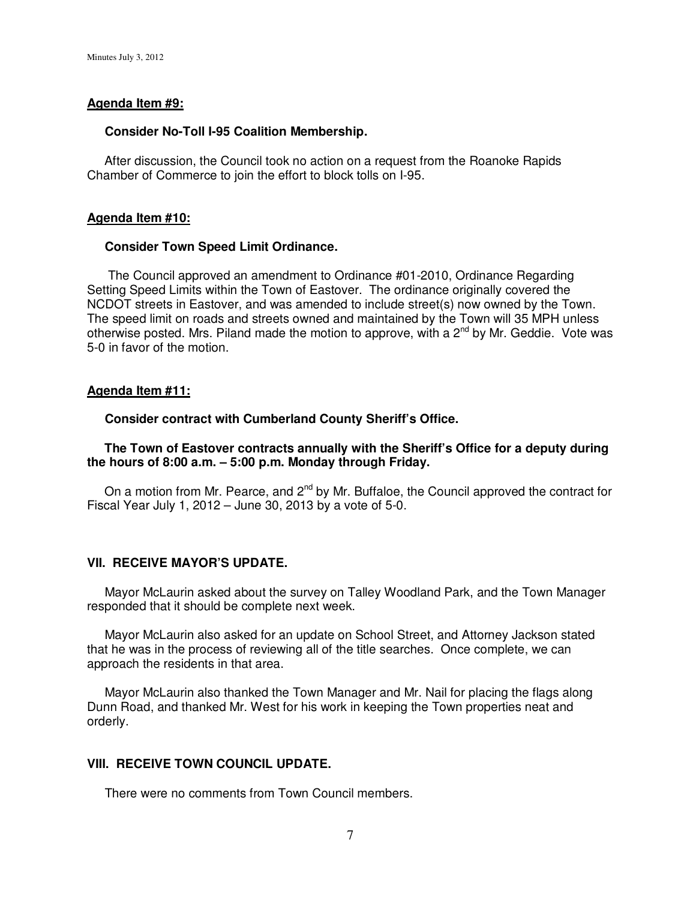#### **Agenda Item #9:**

#### **Consider No-Toll I-95 Coalition Membership.**

 After discussion, the Council took no action on a request from the Roanoke Rapids Chamber of Commerce to join the effort to block tolls on I-95.

#### **Agenda Item #10:**

#### **Consider Town Speed Limit Ordinance.**

 The Council approved an amendment to Ordinance #01-2010, Ordinance Regarding Setting Speed Limits within the Town of Eastover. The ordinance originally covered the NCDOT streets in Eastover, and was amended to include street(s) now owned by the Town. The speed limit on roads and streets owned and maintained by the Town will 35 MPH unless otherwise posted. Mrs. Piland made the motion to approve, with a  $2^{nd}$  by Mr. Geddie. Vote was 5-0 in favor of the motion.

### **Agenda Item #11:**

#### **Consider contract with Cumberland County Sheriff's Office.**

### **The Town of Eastover contracts annually with the Sheriff's Office for a deputy during the hours of 8:00 a.m. – 5:00 p.m. Monday through Friday.**

On a motion from Mr. Pearce, and 2<sup>nd</sup> by Mr. Buffaloe, the Council approved the contract for Fiscal Year July 1, 2012 – June 30, 2013 by a vote of 5-0.

### **VII. RECEIVE MAYOR'S UPDATE.**

 Mayor McLaurin asked about the survey on Talley Woodland Park, and the Town Manager responded that it should be complete next week.

 Mayor McLaurin also asked for an update on School Street, and Attorney Jackson stated that he was in the process of reviewing all of the title searches. Once complete, we can approach the residents in that area.

 Mayor McLaurin also thanked the Town Manager and Mr. Nail for placing the flags along Dunn Road, and thanked Mr. West for his work in keeping the Town properties neat and orderly.

# **VIII. RECEIVE TOWN COUNCIL UPDATE.**

There were no comments from Town Council members.